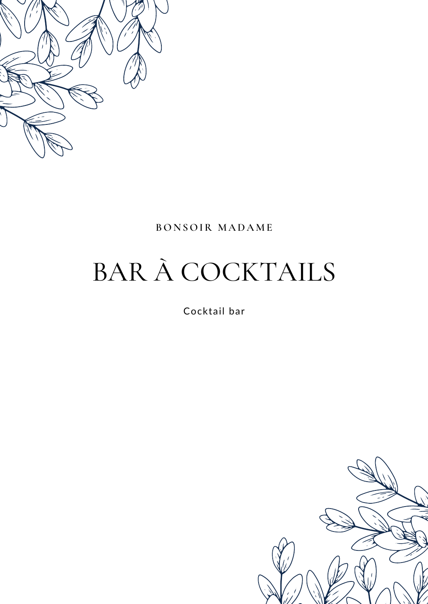

## **BONSOIR MADAME**

# BAR À COCKTAILS

Cocktail bar

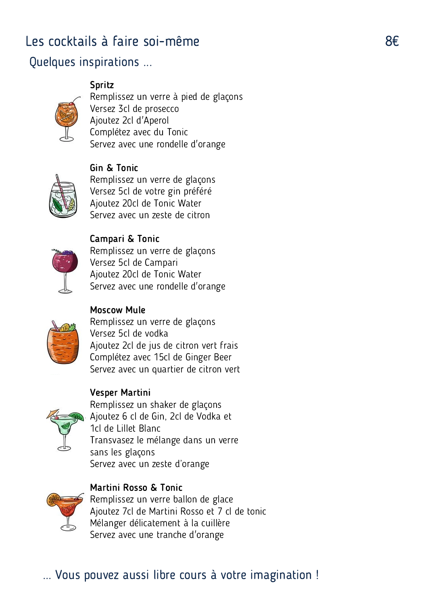## Les cocktails à faire soi-même en entre soi-même

Gin & Tonic

## Quelques inspirations ...

## Spritz

Remplissez un verre à pied de glaçons Versez 3cl de prosecco Ajoutez 2cl d'Aperol Complétez avec du Tonic Servez avec une rondelle d'orange



Remplissez un verre de glaçons Versez 5cl de votre gin préféré Ajoutez 20cl de Tonic Water Servez avec un zeste de citron



Campari & Tonic Remplissez un verre de glaçons Versez 5cl de Campari Ajoutez 20cl de Tonic Water Servez avec une rondelle d'orange

#### Moscow Mule



Remplissez un verre de glaçons Versez 5cl de vodka Ajoutez 2cl de jus de citron vert frais Complétez avec 15cl de Ginger Beer Servez avec un quartier de citron vert

#### Vesper Martini



Remplissez un shaker de glaçons Ajoutez 6 cl de Gin, 2cl de Vodka et 1cl de Lillet Blanc Transvasez le mélange dans un verre Servez avec un zeste d'orange sans les glaçons



Martini Rosso & Tonic Remplissez un verre ballon de glace Ajoutez 7cl de Martini Rosso et 7 cl de tonic Mélanger délicatement à la cuillère Servez avec une tranche d'orange

# ... Vous pouvez aussi libre cours à votre imagination !